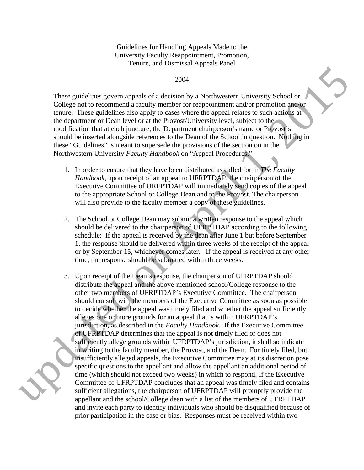Guidelines for Handling Appeals Made to the University Faculty Reappointment, Promotion, Tenure, and Dismissal Appeals Panel

## 2004

These guidelines govern appeals of a decision by a Northwestern University School or College not to recommend a faculty member for reappointment and/or promotion and/or tenure. These guidelines also apply to cases where the appeal relates to such actions at the department or Dean level or at the Provost/University level, subject to the modification that at each juncture, the Department chairperson's name or Provost's should be inserted alongside references to the Dean of the School in question. Nothing in these "Guidelines" is meant to supersede the provisions of the section on in the Northwestern University *Faculty Handbook* on "Appeal Procedures."

- 1. In order to ensure that they have been distributed as called for in *The Faculty Handbook*, upon receipt of an appeal to UFRPTDAP, the chairperson of the Executive Committee of URFPTDAP will immediately send copies of the appeal to the appropriate School or College Dean and to the Provost. The chairperson will also provide to the faculty member a copy of these guidelines.
- 2. The School or College Dean may submit a written response to the appeal which should be delivered to the chairperson of UFRPTDAP according to the following schedule: If the appeal is received by the dean after June 1 but before September 1, the response should be delivered within three weeks of the receipt of the appeal or by September 15, whichever comes later. If the appeal is received at any other time, the response should be submitted within three weeks.
- 2014<br>
2014<br>
2014<br>
These guidelines govern appeals of a decision by a Northwestern University School or<br>
College not to recomment a factory member for reappointment and/or promotion and<br>the method of the material control i 3. Upon receipt of the Dean's response, the chairperson of UFRPTDAP should distribute the appeal and the above-mentioned school/College response to the other two members of UFRPTDAP's Executive Committee. The chairperson should consult with the members of the Executive Committee as soon as possible to decide whether the appeal was timely filed and whether the appeal sufficiently alleges one or more grounds for an appeal that is within UFRPTDAP's jurisdiction, as described in the *Faculty Handbook*. If the Executive Committee of UFRPTDAP determines that the appeal is not timely filed or does not sufficiently allege grounds within UFRPTDAP's jurisdiction, it shall so indicate in writing to the faculty member, the Provost, and the Dean. For timely filed, but insufficiently alleged appeals, the Executive Committee may at its discretion pose specific questions to the appellant and allow the appellant an additional period of time (which should not exceed two weeks) in which to respond. If the Executive Committee of UFRPTDAP concludes that an appeal was timely filed and contains sufficient allegations, the chairperson of UFRPTDAP will promptly provide the appellant and the school/College dean with a list of the members of UFRPTDAP and invite each party to identify individuals who should be disqualified because of prior participation in the case or bias. Responses must be received within two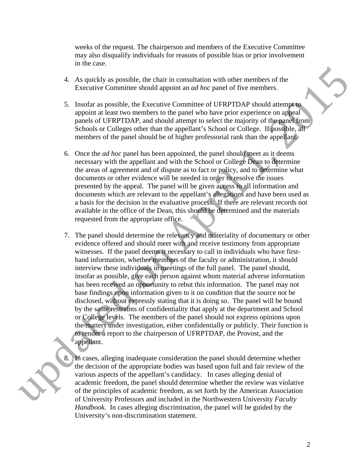weeks of the request. The chairperson and members of the Executive Committee may also disqualify individuals for reasons of possible bias or prior involvement in the case.

- 4. As quickly as possible, the chair in consultation with other members of the Executive Committee should appoint an *ad hoc* panel of five members.
- 5. Insofar as possible, the Executive Committee of UFRPTDAP should attempt to appoint at least two members to the panel who have prior experience on appeal panels of UFRPTDAP, and should attempt to select the majority of the panel from Schools or Colleges other than the appellant's School or College. If possible, all members of the panel should be of higher professorial rank than the appellant.
- 6. Once the *ad hoc* panel has been appointed, the panel should meet as it deems necessary with the appellant and with the School or College Dean to determine the areas of agreement and of dispute as to fact or policy, and to determine what documents or other evidence will be needed in order to resolve the issues presented by the appeal. The panel will be given access to all information and documents which are relevant to the appellant's allegations and have been used as a basis for the decision in the evaluative process. If there are relevant records not available in the office of the Dean, this should be determined and the materials requested from the appropriate office.
- 4. As quickly as possible, the chair in consultation with other members of the<br>Frecentive Committee should appoint an *ad low* panel of five members.<br>In particular appoint at least two members to the goalel who have prior 7. The panel should determine the relevancy and materiality of documentary or other evidence offered and should meet with and receive testimony from appropriate witnesses. If the panel deems it necessary to call in individuals who have firsthand information, whether members of the faculty or administration, it should interview these individuals in meetings of the full panel. The panel should, insofar as possible, give each person against whom material adverse information has been received an opportunity to rebut this information. The panel may not base findings upon information given to it on condition that the source not be disclosed, without expressly stating that it is doing so. The panel will be bound by the same restraints of confidentiality that apply at the department and School or College levels. The members of the panel should not express opinions upon the matters under investigation, either confidentially or publicly. Their function is to render a report to the chairperson of UFRPTDAP, the Provost, and the appellant.
	- In cases, alleging inadequate consideration the panel should determine whether the decision of the appropriate bodies was based upon full and fair review of the various aspects of the appellant's candidacy. In cases alleging denial of academic freedom, the panel should determine whether the review was violative of the principles of academic freedom, as set forth by the American Association of University Professors and included in the Northwestern University *Faculty Handbook.* In cases alleging discrimination, the panel will be guided by the University's non-discrimination statement.